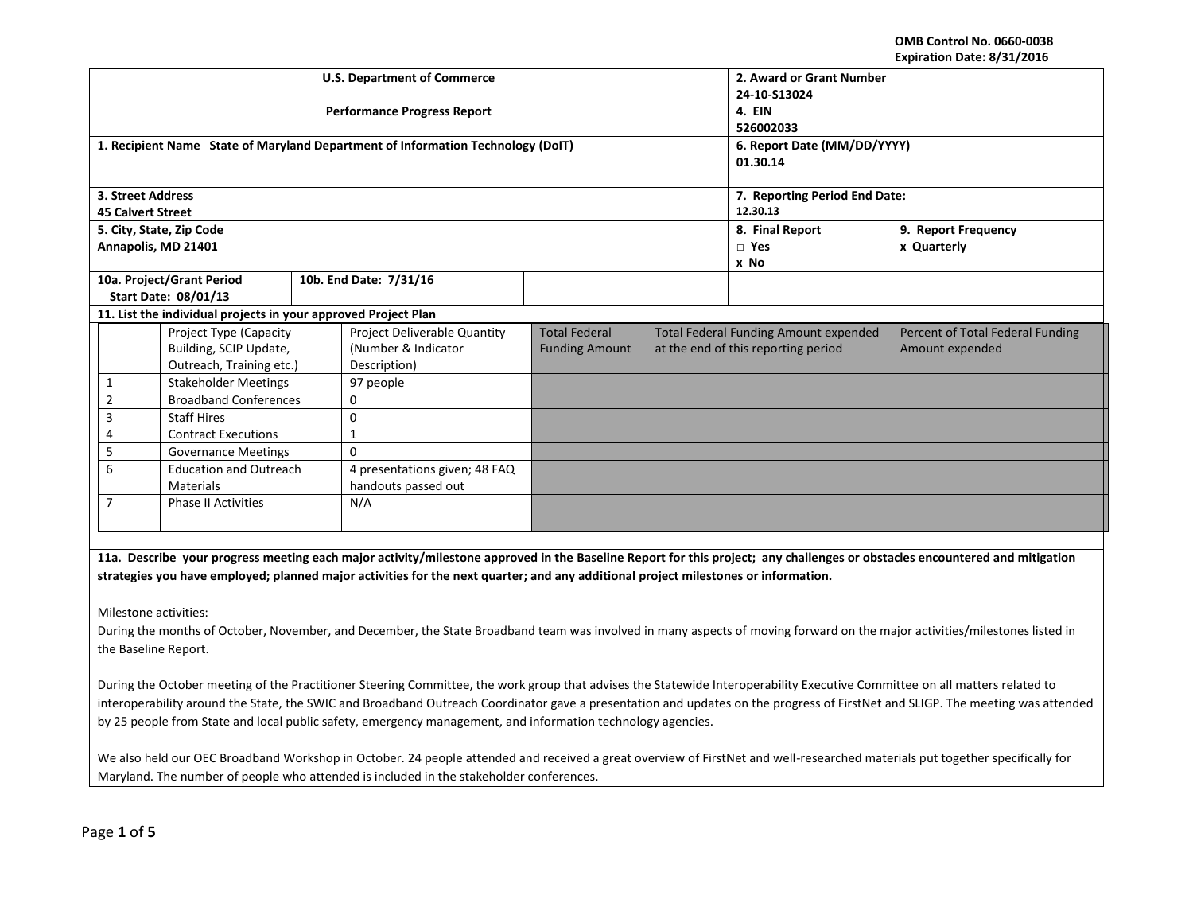**OMB Control No. 0660-0038 Expiration Date: 8/31/2016**

|                                                                                                                                                                                |                                                                                                                                                                             |  | <b>U.S. Department of Commerce</b>                                              | 2. Award or Grant Number      |                                              |                                     |                                                                                                                                                                            |  |
|--------------------------------------------------------------------------------------------------------------------------------------------------------------------------------|-----------------------------------------------------------------------------------------------------------------------------------------------------------------------------|--|---------------------------------------------------------------------------------|-------------------------------|----------------------------------------------|-------------------------------------|----------------------------------------------------------------------------------------------------------------------------------------------------------------------------|--|
|                                                                                                                                                                                |                                                                                                                                                                             |  | <b>Performance Progress Report</b>                                              | 24-10-S13024                  |                                              |                                     |                                                                                                                                                                            |  |
|                                                                                                                                                                                |                                                                                                                                                                             |  |                                                                                 | 4. EIN<br>526002033           |                                              |                                     |                                                                                                                                                                            |  |
|                                                                                                                                                                                |                                                                                                                                                                             |  | 1. Recipient Name State of Maryland Department of Information Technology (DoIT) | 6. Report Date (MM/DD/YYYY)   |                                              |                                     |                                                                                                                                                                            |  |
|                                                                                                                                                                                |                                                                                                                                                                             |  |                                                                                 |                               |                                              | 01.30.14                            |                                                                                                                                                                            |  |
|                                                                                                                                                                                |                                                                                                                                                                             |  |                                                                                 |                               |                                              |                                     |                                                                                                                                                                            |  |
| 3. Street Address                                                                                                                                                              |                                                                                                                                                                             |  |                                                                                 | 7. Reporting Period End Date: |                                              |                                     |                                                                                                                                                                            |  |
| <b>45 Calvert Street</b>                                                                                                                                                       |                                                                                                                                                                             |  |                                                                                 | 12.30.13                      |                                              |                                     |                                                                                                                                                                            |  |
|                                                                                                                                                                                | 5. City, State, Zip Code                                                                                                                                                    |  |                                                                                 |                               | 8. Final Report                              | 9. Report Frequency                 |                                                                                                                                                                            |  |
|                                                                                                                                                                                | Annapolis, MD 21401                                                                                                                                                         |  |                                                                                 |                               |                                              | $\Box$ Yes                          | x Quarterly                                                                                                                                                                |  |
|                                                                                                                                                                                |                                                                                                                                                                             |  |                                                                                 |                               |                                              | x No                                |                                                                                                                                                                            |  |
|                                                                                                                                                                                | 10a. Project/Grant Period                                                                                                                                                   |  | 10b. End Date: 7/31/16                                                          |                               |                                              |                                     |                                                                                                                                                                            |  |
|                                                                                                                                                                                | <b>Start Date: 08/01/13</b>                                                                                                                                                 |  |                                                                                 |                               |                                              |                                     |                                                                                                                                                                            |  |
|                                                                                                                                                                                | 11. List the individual projects in your approved Project Plan                                                                                                              |  |                                                                                 |                               |                                              |                                     |                                                                                                                                                                            |  |
|                                                                                                                                                                                | Project Type (Capacity                                                                                                                                                      |  | Project Deliverable Quantity                                                    | <b>Total Federal</b>          | <b>Total Federal Funding Amount expended</b> |                                     | Percent of Total Federal Funding                                                                                                                                           |  |
|                                                                                                                                                                                | Building, SCIP Update,                                                                                                                                                      |  | (Number & Indicator                                                             | <b>Funding Amount</b>         |                                              | at the end of this reporting period | Amount expended                                                                                                                                                            |  |
|                                                                                                                                                                                | Outreach, Training etc.)                                                                                                                                                    |  | Description)                                                                    |                               |                                              |                                     |                                                                                                                                                                            |  |
| 1                                                                                                                                                                              | <b>Stakeholder Meetings</b>                                                                                                                                                 |  | 97 people                                                                       |                               |                                              |                                     |                                                                                                                                                                            |  |
| $\overline{2}$                                                                                                                                                                 | <b>Broadband Conferences</b>                                                                                                                                                |  | 0                                                                               |                               |                                              |                                     |                                                                                                                                                                            |  |
| 3                                                                                                                                                                              | <b>Staff Hires</b>                                                                                                                                                          |  | $\mathbf 0$                                                                     |                               |                                              |                                     |                                                                                                                                                                            |  |
| 4                                                                                                                                                                              | <b>Contract Executions</b>                                                                                                                                                  |  | $\mathbf{1}$                                                                    |                               |                                              |                                     |                                                                                                                                                                            |  |
| 5                                                                                                                                                                              | <b>Governance Meetings</b>                                                                                                                                                  |  | $\Omega$                                                                        |                               |                                              |                                     |                                                                                                                                                                            |  |
| 6                                                                                                                                                                              | <b>Education and Outreach</b>                                                                                                                                               |  | 4 presentations given; 48 FAQ                                                   |                               |                                              |                                     |                                                                                                                                                                            |  |
|                                                                                                                                                                                | <b>Materials</b>                                                                                                                                                            |  | handouts passed out                                                             |                               |                                              |                                     |                                                                                                                                                                            |  |
| 7                                                                                                                                                                              | <b>Phase II Activities</b>                                                                                                                                                  |  | N/A                                                                             |                               |                                              |                                     |                                                                                                                                                                            |  |
|                                                                                                                                                                                |                                                                                                                                                                             |  |                                                                                 |                               |                                              |                                     |                                                                                                                                                                            |  |
|                                                                                                                                                                                |                                                                                                                                                                             |  |                                                                                 |                               |                                              |                                     |                                                                                                                                                                            |  |
|                                                                                                                                                                                |                                                                                                                                                                             |  |                                                                                 |                               |                                              |                                     | 11a. Describe your progress meeting each major activity/milestone approved in the Baseline Report for this project; any challenges or obstacles encountered and mitigation |  |
| strategies you have employed; planned major activities for the next quarter; and any additional project milestones or information.                                             |                                                                                                                                                                             |  |                                                                                 |                               |                                              |                                     |                                                                                                                                                                            |  |
|                                                                                                                                                                                |                                                                                                                                                                             |  |                                                                                 |                               |                                              |                                     |                                                                                                                                                                            |  |
| Milestone activities:                                                                                                                                                          |                                                                                                                                                                             |  |                                                                                 |                               |                                              |                                     |                                                                                                                                                                            |  |
| During the months of October, November, and December, the State Broadband team was involved in many aspects of moving forward on the major activities/milestones listed in     |                                                                                                                                                                             |  |                                                                                 |                               |                                              |                                     |                                                                                                                                                                            |  |
| the Baseline Report.                                                                                                                                                           |                                                                                                                                                                             |  |                                                                                 |                               |                                              |                                     |                                                                                                                                                                            |  |
|                                                                                                                                                                                |                                                                                                                                                                             |  |                                                                                 |                               |                                              |                                     |                                                                                                                                                                            |  |
|                                                                                                                                                                                |                                                                                                                                                                             |  |                                                                                 |                               |                                              |                                     |                                                                                                                                                                            |  |
|                                                                                                                                                                                | During the October meeting of the Practitioner Steering Committee, the work group that advises the Statewide Interoperability Executive Committee on all matters related to |  |                                                                                 |                               |                                              |                                     |                                                                                                                                                                            |  |
| interoperability around the State, the SWIC and Broadband Outreach Coordinator gave a presentation and updates on the progress of FirstNet and SLIGP. The meeting was attended |                                                                                                                                                                             |  |                                                                                 |                               |                                              |                                     |                                                                                                                                                                            |  |
| by 25 people from State and local public safety, emergency management, and information technology agencies.                                                                    |                                                                                                                                                                             |  |                                                                                 |                               |                                              |                                     |                                                                                                                                                                            |  |
|                                                                                                                                                                                |                                                                                                                                                                             |  |                                                                                 |                               |                                              |                                     |                                                                                                                                                                            |  |
| We also held our OEC Broadband Workshop in October. 24 people attended and received a great overview of FirstNet and well-researched materials put together specifically for   |                                                                                                                                                                             |  |                                                                                 |                               |                                              |                                     |                                                                                                                                                                            |  |
| Maryland. The number of people who attended is included in the stakeholder conferences.                                                                                        |                                                                                                                                                                             |  |                                                                                 |                               |                                              |                                     |                                                                                                                                                                            |  |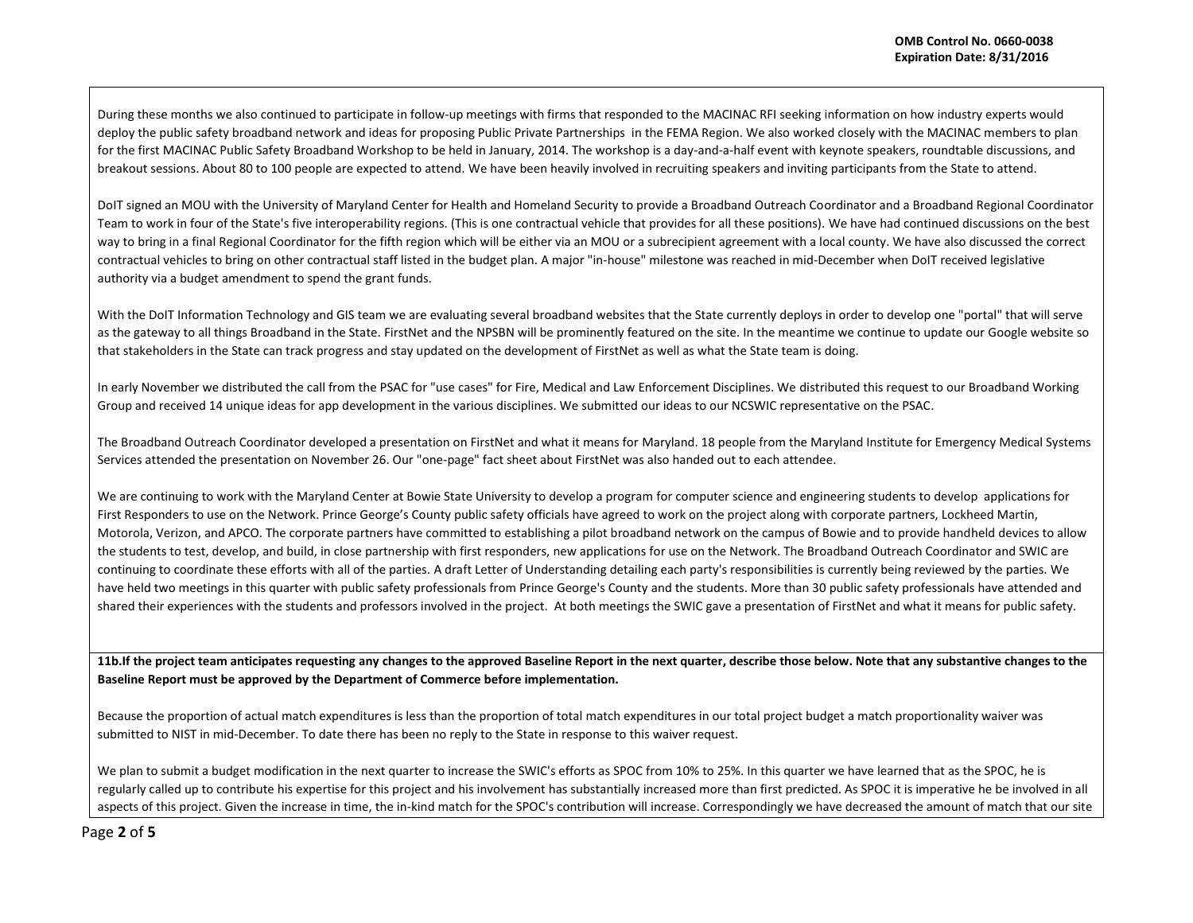During these months we also continued to participate in follow-up meetings with firms that responded to the MACINAC RFI seeking information on how industry experts would deploy the public safety broadband network and ideas for proposing Public Private Partnerships in the FEMA Region. We also worked closely with the MACINAC members to plan for the first MACINAC Public Safety Broadband Workshop to be held in January, 2014. The workshop is a day-and-a-half event with keynote speakers, roundtable discussions, and breakout sessions. About 80 to 100 people are expected to attend. We have been heavily involved in recruiting speakers and inviting participants from the State to attend.

DoIT signed an MOU with the University of Maryland Center for Health and Homeland Security to provide a Broadband Outreach Coordinator and a Broadband Regional Coordinator Team to work in four of the State's five interoperability regions. (This is one contractual vehicle that provides for all these positions). We have had continued discussions on the best way to bring in a final Regional Coordinator for the fifth region which will be either via an MOU or a subrecipient agreement with a local county. We have also discussed the correct contractual vehicles to bring on other contractual staff listed in the budget plan. A major "in-house" milestone was reached in mid-December when DoIT received legislative authority via a budget amendment to spend the grant funds.

With the DoIT Information Technology and GIS team we are evaluating several broadband websites that the State currently deploys in order to develop one "portal" that will serve as the gateway to all things Broadband in the State. FirstNet and the NPSBN will be prominently featured on the site. In the meantime we continue to update our Google website so that stakeholders in the State can track progress and stay updated on the development of FirstNet as well as what the State team is doing.

In early November we distributed the call from the PSAC for "use cases" for Fire, Medical and Law Enforcement Disciplines. We distributed this request to our Broadband Working Group and received 14 unique ideas for app development in the various disciplines. We submitted our ideas to our NCSWIC representative on the PSAC.

The Broadband Outreach Coordinator developed a presentation on FirstNet and what it means for Maryland. 18 people from the Maryland Institute for Emergency Medical Systems Services attended the presentation on November 26. Our "one-page" fact sheet about FirstNet was also handed out to each attendee.

We are continuing to work with the Maryland Center at Bowie State University to develop a program for computer science and engineering students to develop applications for First Responders to use on the Network. Prince George's County public safety officials have agreed to work on the project along with corporate partners, Lockheed Martin, Motorola, Verizon, and APCO. The corporate partners have committed to establishing a pilot broadband network on the campus of Bowie and to provide handheld devices to allow the students to test, develop, and build, in close partnership with first responders, new applications for use on the Network. The Broadband Outreach Coordinator and SWIC are continuing to coordinate these efforts with all of the parties. A draft Letter of Understanding detailing each party's responsibilities is currently being reviewed by the parties. We have held two meetings in this quarter with public safety professionals from Prince George's County and the students. More than 30 public safety professionals have attended and shared their experiences with the students and professors involved in the project. At both meetings the SWIC gave a presentation of FirstNet and what it means for public safety.

**11b.If the project team anticipates requesting any changes to the approved Baseline Report in the next quarter, describe those below. Note that any substantive changes to the Baseline Report must be approved by the Department of Commerce before implementation.** 

Because the proportion of actual match expenditures is less than the proportion of total match expenditures in our total project budget a match proportionality waiver was submitted to NIST in mid-December. To date there has been no reply to the State in response to this waiver request.

We plan to submit a budget modification in the next quarter to increase the SWIC's efforts as SPOC from 10% to 25%. In this quarter we have learned that as the SPOC, he is regularly called up to contribute his expertise for this project and his involvement has substantially increased more than first predicted. As SPOC it is imperative he be involved in all aspects of this project. Given the increase in time, the in-kind match for the SPOC's contribution will increase. Correspondingly we have decreased the amount of match that our site

Page **2** of **5**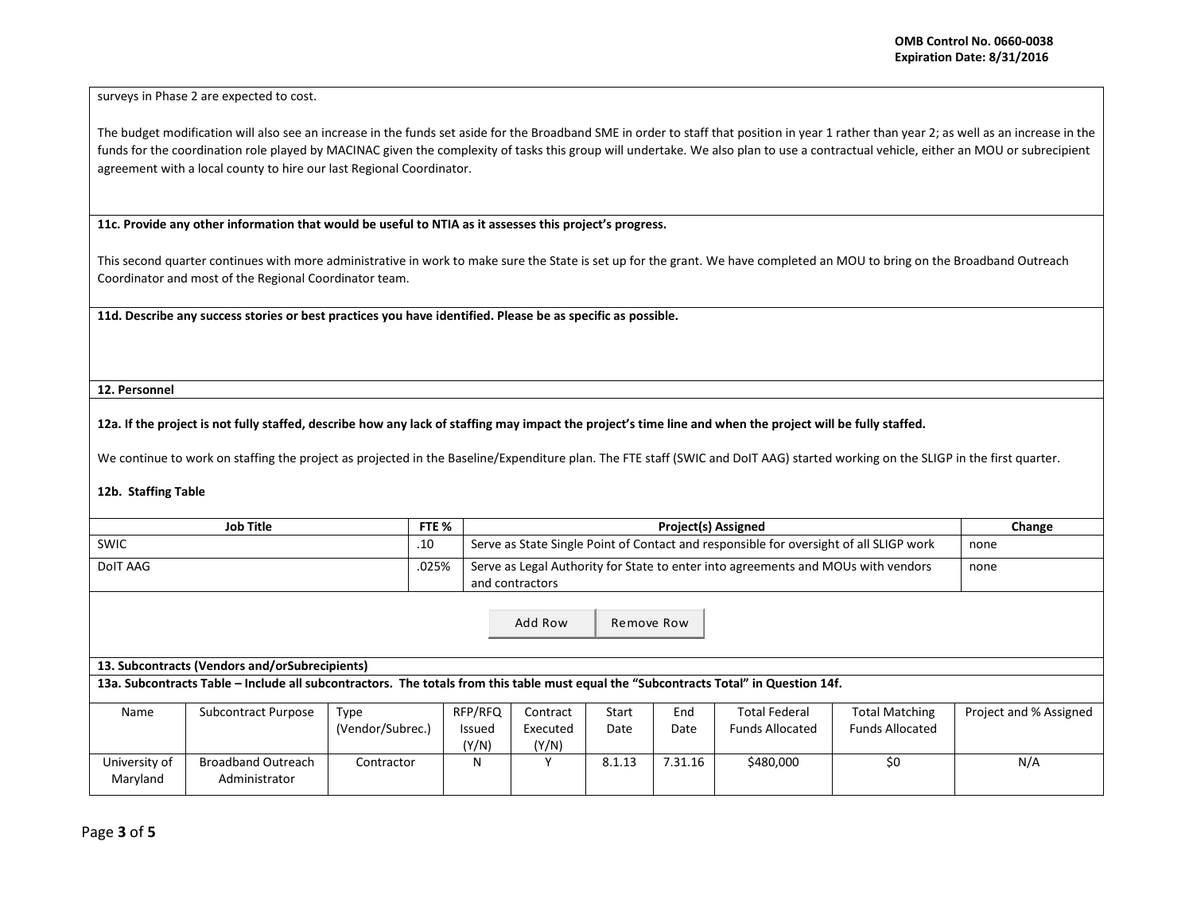surveys in Phase 2 are expected to cost.

The budget modification will also see an increase in the funds set aside for the Broadband SME in order to staff that position in year 1 rather than year 2; as well as an increase in the funds for the coordination role played by MACINAC given the complexity of tasks this group will undertake. We also plan to use a contractual vehicle, either an MOU or subrecipient agreement with a local county to hire our last Regional Coordinator.

**11c. Provide any other information that would be useful to NTIA as it assesses this project's progress.** 

This second quarter continues with more administrative in work to make sure the State is set up for the grant. We have completed an MOU to bring on the Broadband Outreach Coordinator and most of the Regional Coordinator team.

**11d. Describe any success stories or best practices you have identified. Please be as specific as possible.**

**12. Personnel** 

**12a. If the project is not fully staffed, describe how any lack of staffing may impact the project's time line and when the project will be fully staffed.**

We continue to work on staffing the project as projected in the Baseline/Expenditure plan. The FTE staff (SWIC and DoIT AAG) started working on the SLIGP in the first quarter.

## **12b. Staffing Table**

| <b>Job Title</b>                                                                                                                      |                                            |                  | FTE %                  |                                                                                                      | Change |         |                        |                        |                        |
|---------------------------------------------------------------------------------------------------------------------------------------|--------------------------------------------|------------------|------------------------|------------------------------------------------------------------------------------------------------|--------|---------|------------------------|------------------------|------------------------|
| <b>SWIC</b>                                                                                                                           |                                            |                  |                        | Serve as State Single Point of Contact and responsible for oversight of all SLIGP work               |        |         |                        |                        | none                   |
| <b>DoIT AAG</b>                                                                                                                       |                                            |                  | .025%                  | Serve as Legal Authority for State to enter into agreements and MOUs with vendors<br>and contractors |        |         |                        |                        | none                   |
| Add Row<br>Remove Row<br>13. Subcontracts (Vendors and/orSubrecipients)                                                               |                                            |                  |                        |                                                                                                      |        |         |                        |                        |                        |
| 13a. Subcontracts Table - Include all subcontractors. The totals from this table must equal the "Subcontracts Total" in Question 14f. |                                            |                  |                        |                                                                                                      |        |         |                        |                        |                        |
| Name                                                                                                                                  | <b>Subcontract Purpose</b>                 | Type             | RFP/RFQ                | Contract                                                                                             | Start  | End     | <b>Total Federal</b>   | <b>Total Matching</b>  | Project and % Assigned |
|                                                                                                                                       |                                            | (Vendor/Subrec.) | <b>Issued</b><br>(Y/N) | Executed<br>(Y/N)                                                                                    | Date   | Date    | <b>Funds Allocated</b> | <b>Funds Allocated</b> |                        |
| University of<br>Maryland                                                                                                             | <b>Broadband Outreach</b><br>Administrator | Contractor       | N                      | ٧                                                                                                    | 8.1.13 | 7.31.16 | \$480,000              | \$0                    | N/A                    |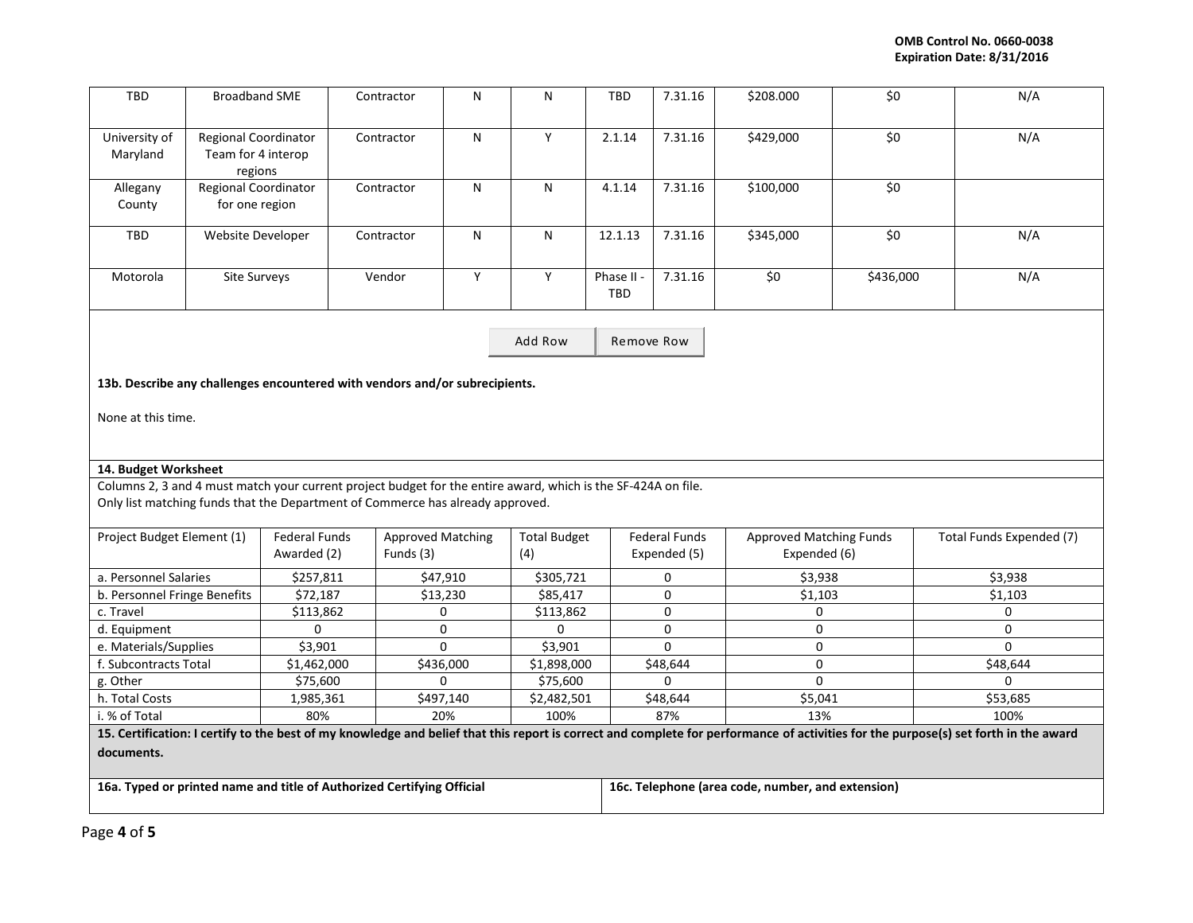| TBD                                                                                                                                                                                  | <b>Broadband SME</b>                                  |               | Contractor               | N         | ${\sf N}$           | <b>TBD</b>               | 7.31.16                                           | \$208.000                      | \$0       | N/A                      |
|--------------------------------------------------------------------------------------------------------------------------------------------------------------------------------------|-------------------------------------------------------|---------------|--------------------------|-----------|---------------------|--------------------------|---------------------------------------------------|--------------------------------|-----------|--------------------------|
| University of<br>Maryland                                                                                                                                                            | Regional Coordinator<br>Team for 4 interop<br>regions |               | Contractor               | ${\sf N}$ | Y                   | 2.1.14                   | 7.31.16                                           | \$429,000                      | \$0       | N/A                      |
| Allegany<br>County                                                                                                                                                                   | Regional Coordinator<br>for one region                |               | Contractor               | N         | N                   | 4.1.14                   | 7.31.16                                           | \$100,000                      | \$0       |                          |
| <b>TBD</b>                                                                                                                                                                           | Website Developer                                     |               | Contractor               | N         | N                   | 12.1.13                  | 7.31.16                                           | \$345,000                      | \$0       | N/A                      |
| Motorola                                                                                                                                                                             | Site Surveys                                          |               | Vendor                   | Y         | Y                   | Phase II -<br><b>TBD</b> | 7.31.16                                           | \$0                            | \$436,000 | N/A                      |
|                                                                                                                                                                                      |                                                       |               |                          | Add Row   | Remove Row          |                          |                                                   |                                |           |                          |
| 13b. Describe any challenges encountered with vendors and/or subrecipients.                                                                                                          |                                                       |               |                          |           |                     |                          |                                                   |                                |           |                          |
| None at this time.                                                                                                                                                                   |                                                       |               |                          |           |                     |                          |                                                   |                                |           |                          |
| 14. Budget Worksheet                                                                                                                                                                 |                                                       |               |                          |           |                     |                          |                                                   |                                |           |                          |
| Columns 2, 3 and 4 must match your current project budget for the entire award, which is the SF-424A on file.                                                                        |                                                       |               |                          |           |                     |                          |                                                   |                                |           |                          |
| Only list matching funds that the Department of Commerce has already approved.                                                                                                       |                                                       |               |                          |           |                     |                          |                                                   |                                |           |                          |
| Project Budget Element (1)                                                                                                                                                           |                                                       | Federal Funds | <b>Approved Matching</b> |           | <b>Total Budget</b> |                          | <b>Federal Funds</b>                              | <b>Approved Matching Funds</b> |           | Total Funds Expended (7) |
|                                                                                                                                                                                      |                                                       | Awarded (2)   | Funds (3)                |           | (4)                 |                          | Expended (5)                                      | Expended (6)                   |           |                          |
| a. Personnel Salaries                                                                                                                                                                |                                                       | \$257,811     | \$47,910                 |           | \$305,721           |                          | 0                                                 | \$3,938                        |           | \$3,938                  |
| b. Personnel Fringe Benefits                                                                                                                                                         |                                                       | \$72,187      | \$13,230                 |           | \$85,417            |                          | $\mathbf 0$                                       | \$1,103                        |           | \$1,103                  |
| c. Travel                                                                                                                                                                            |                                                       | \$113,862     | 0                        |           | \$113,862           |                          | $\mathbf 0$                                       | $\mathbf 0$                    |           | 0                        |
| d. Equipment                                                                                                                                                                         |                                                       | $\mathbf 0$   | 0                        |           | $\Omega$            |                          | $\mathbf 0$                                       | $\mathbf 0$                    |           | $\overline{0}$           |
| e. Materials/Supplies                                                                                                                                                                |                                                       | \$3,901       | 0                        |           | \$3,901             |                          | $\Omega$                                          | $\mathbf 0$                    |           | $\Omega$                 |
| f. Subcontracts Total                                                                                                                                                                |                                                       | \$1,462,000   | \$436,000                |           | \$1,898,000         |                          | \$48,644                                          | $\mathbf 0$                    |           | \$48,644                 |
| g. Other                                                                                                                                                                             |                                                       | \$75,600      | 0                        |           | \$75,600            |                          | $\mathbf 0$                                       | $\mathbf 0$                    |           | $\Omega$                 |
| h. Total Costs                                                                                                                                                                       |                                                       | 1,985,361     | \$497,140                |           | \$2,482,501         |                          | \$48,644                                          | \$5,041                        |           | \$53,685                 |
| i. % of Total                                                                                                                                                                        |                                                       | 80%           | 20%                      |           | 100%                |                          | 87%                                               | 13%                            |           | 100%                     |
| 15. Certification: I certify to the best of my knowledge and belief that this report is correct and complete for performance of activities for the purpose(s) set forth in the award |                                                       |               |                          |           |                     |                          |                                                   |                                |           |                          |
| documents.                                                                                                                                                                           |                                                       |               |                          |           |                     |                          |                                                   |                                |           |                          |
| 16a. Typed or printed name and title of Authorized Certifying Official                                                                                                               |                                                       |               |                          |           |                     |                          | 16c. Telephone (area code, number, and extension) |                                |           |                          |